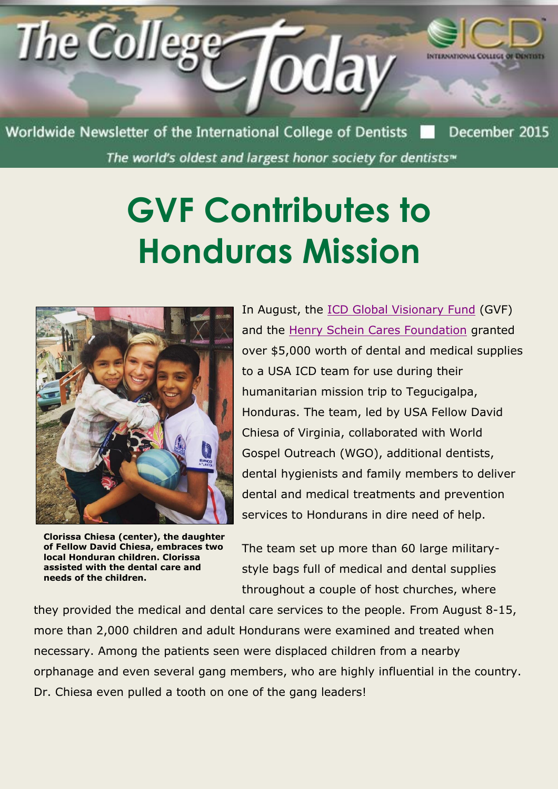

Worldwide Newsletter of the International College of Dentists The world's oldest and largest honor society for dentists<sup>®</sup>

## **GVF Contributes to Honduras Mission**



**Clorissa Chiesa (center), the daughter of Fellow David Chiesa, embraces two local Honduran children. Clorissa assisted with the dental care and needs of the children.**

In August, the [ICD Global Visionary Fund](http://www.icd.org/global-visionary-fund/) (GVF) and the [Henry Schein Cares Foundation](http://www.hscaresfoundation.org/) granted over \$5,000 worth of dental and medical supplies to a USA ICD team for use during their humanitarian mission trip to Tegucigalpa, Honduras. The team, led by USA Fellow David Chiesa of Virginia, collaborated with World Gospel Outreach (WGO), additional dentists, dental hygienists and family members to deliver dental and medical treatments and prevention services to Hondurans in dire need of help.

The team set up more than 60 large militarystyle bags full of medical and dental supplies throughout a couple of host churches, where

they provided the medical and dental care services to the people. From August 8-15, more than 2,000 children and adult Hondurans were examined and treated when necessary. Among the patients seen were displaced children from a nearby orphanage and even several gang members, who are highly influential in the country. Dr. Chiesa even pulled a tooth on one of the gang leaders!